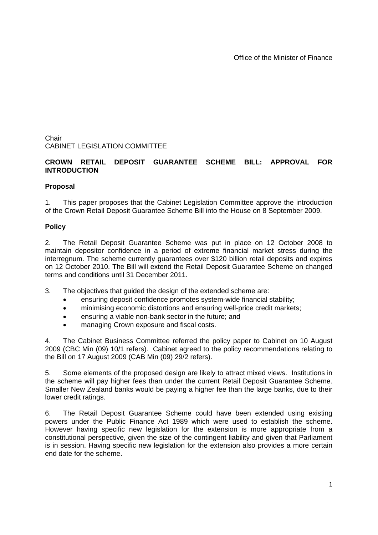Office of the Minister of Finance

Chair CABINET LEGISLATION COMMITTEE

# **CROWN RETAIL DEPOSIT GUARANTEE SCHEME BILL: APPROVAL FOR INTRODUCTION**

## **Proposal**

1. This paper proposes that the Cabinet Legislation Committee approve the introduction of the Crown Retail Deposit Guarantee Scheme Bill into the House on 8 September 2009.

## **Policy**

2. The Retail Deposit Guarantee Scheme was put in place on 12 October 2008 to maintain depositor confidence in a period of extreme financial market stress during the interregnum. The scheme currently guarantees over \$120 billion retail deposits and expires on 12 October 2010. The Bill will extend the Retail Deposit Guarantee Scheme on changed terms and conditions until 31 December 2011.

- 3. The objectives that guided the design of the extended scheme are:
	- ensuring deposit confidence promotes system-wide financial stability;
	- minimising economic distortions and ensuring well-price credit markets;
	- ensuring a viable non-bank sector in the future; and
	- managing Crown exposure and fiscal costs.

4. The Cabinet Business Committee referred the policy paper to Cabinet on 10 August 2009 (CBC Min (09) 10/1 refers). Cabinet agreed to the policy recommendations relating to the Bill on 17 August 2009 (CAB Min (09) 29/2 refers).

5. Some elements of the proposed design are likely to attract mixed views. Institutions in the scheme will pay higher fees than under the current Retail Deposit Guarantee Scheme. Smaller New Zealand banks would be paying a higher fee than the large banks, due to their lower credit ratings.

6. The Retail Deposit Guarantee Scheme could have been extended using existing powers under the Public Finance Act 1989 which were used to establish the scheme. However having specific new legislation for the extension is more appropriate from a constitutional perspective, given the size of the contingent liability and given that Parliament is in session. Having specific new legislation for the extension also provides a more certain end date for the scheme.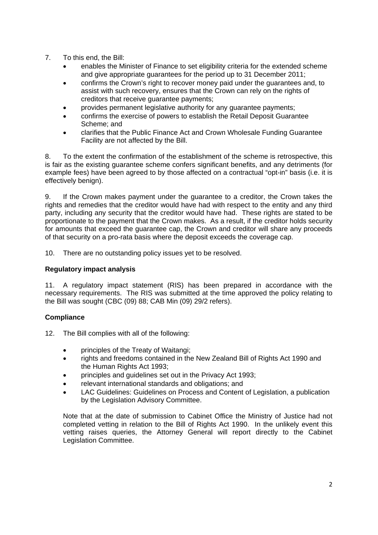- 7. To this end, the Bill:
	- enables the Minister of Finance to set eligibility criteria for the extended scheme and give appropriate guarantees for the period up to 31 December 2011;
	- confirms the Crown's right to recover money paid under the guarantees and, to assist with such recovery, ensures that the Crown can rely on the rights of creditors that receive guarantee payments;
	- provides permanent legislative authority for any guarantee payments;
	- confirms the exercise of powers to establish the Retail Deposit Guarantee Scheme; and
	- clarifies that the Public Finance Act and Crown Wholesale Funding Guarantee Facility are not affected by the Bill.

8. To the extent the confirmation of the establishment of the scheme is retrospective, this is fair as the existing guarantee scheme confers significant benefits, and any detriments (for example fees) have been agreed to by those affected on a contractual "opt-in" basis (i.e. it is effectively benign).

9. If the Crown makes payment under the guarantee to a creditor, the Crown takes the rights and remedies that the creditor would have had with respect to the entity and any third party, including any security that the creditor would have had. These rights are stated to be proportionate to the payment that the Crown makes. As a result, if the creditor holds security for amounts that exceed the guarantee cap, the Crown and creditor will share any proceeds of that security on a pro-rata basis where the deposit exceeds the coverage cap.

10. There are no outstanding policy issues yet to be resolved.

# **Regulatory impact analysis**

11. A regulatory impact statement (RIS) has been prepared in accordance with the necessary requirements. The RIS was submitted at the time approved the policy relating to the Bill was sought (CBC (09) 88; CAB Min (09) 29/2 refers).

### **Compliance**

12. The Bill complies with all of the following:

- principles of the Treaty of Waitangi;
- rights and freedoms contained in the New Zealand Bill of Rights Act 1990 and the Human Rights Act 1993:
- principles and guidelines set out in the Privacy Act 1993;
- relevant international standards and obligations; and
- LAC Guidelines: Guidelines on Process and Content of Legislation, a publication by the Legislation Advisory Committee.

Note that at the date of submission to Cabinet Office the Ministry of Justice had not completed vetting in relation to the Bill of Rights Act 1990. In the unlikely event this vetting raises queries, the Attorney General will report directly to the Cabinet Legislation Committee.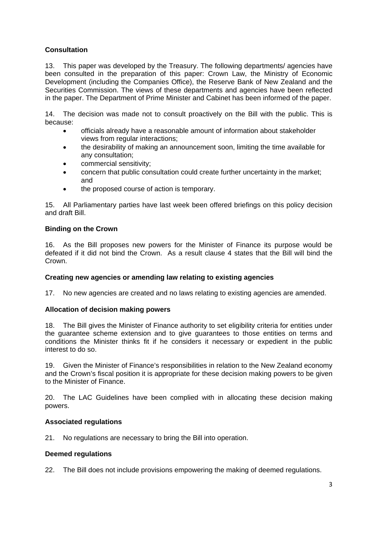# **Consultation**

13. This paper was developed by the Treasury. The following departments/ agencies have been consulted in the preparation of this paper: Crown Law, the Ministry of Economic Development (including the Companies Office), the Reserve Bank of New Zealand and the Securities Commission. The views of these departments and agencies have been reflected in the paper. The Department of Prime Minister and Cabinet has been informed of the paper.

14. The decision was made not to consult proactively on the Bill with the public. This is because:

- officials already have a reasonable amount of information about stakeholder views from regular interactions;
- the desirability of making an announcement soon, limiting the time available for any consultation;
- commercial sensitivity;
- concern that public consultation could create further uncertainty in the market; and
- the proposed course of action is temporary.

15. All Parliamentary parties have last week been offered briefings on this policy decision and draft Bill.

### **Binding on the Crown**

16. As the Bill proposes new powers for the Minister of Finance its purpose would be defeated if it did not bind the Crown. As a result clause 4 states that the Bill will bind the Crown.

### **Creating new agencies or amending law relating to existing agencies**

17. No new agencies are created and no laws relating to existing agencies are amended.

### **Allocation of decision making powers**

18. The Bill gives the Minister of Finance authority to set eligibility criteria for entities under the guarantee scheme extension and to give guarantees to those entities on terms and conditions the Minister thinks fit if he considers it necessary or expedient in the public interest to do so.

19. Given the Minister of Finance's responsibilities in relation to the New Zealand economy and the Crown's fiscal position it is appropriate for these decision making powers to be given to the Minister of Finance.

20. The LAC Guidelines have been complied with in allocating these decision making powers.

### **Associated regulations**

21. No regulations are necessary to bring the Bill into operation.

### **Deemed regulations**

22. The Bill does not include provisions empowering the making of deemed regulations.